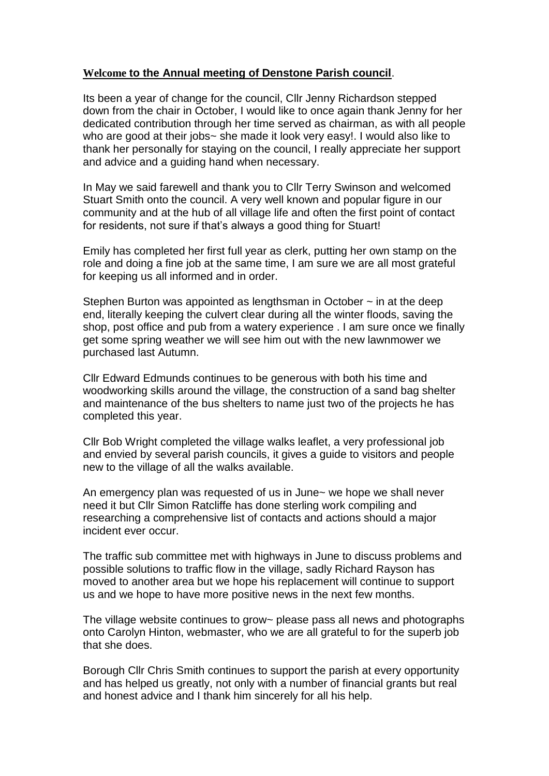## **Welcome to the Annual meeting of Denstone Parish council**.

Its been a year of change for the council, Cllr Jenny Richardson stepped down from the chair in October, I would like to once again thank Jenny for her dedicated contribution through her time served as chairman, as with all people who are good at their jobs~ she made it look very easy!. I would also like to thank her personally for staying on the council, I really appreciate her support and advice and a guiding hand when necessary.

In May we said farewell and thank you to Cllr Terry Swinson and welcomed Stuart Smith onto the council. A very well known and popular figure in our community and at the hub of all village life and often the first point of contact for residents, not sure if that's always a good thing for Stuart!

Emily has completed her first full year as clerk, putting her own stamp on the role and doing a fine job at the same time, I am sure we are all most grateful for keeping us all informed and in order.

Stephen Burton was appointed as lengthsman in October  $\sim$  in at the deep end, literally keeping the culvert clear during all the winter floods, saving the shop, post office and pub from a watery experience . I am sure once we finally get some spring weather we will see him out with the new lawnmower we purchased last Autumn.

Cllr Edward Edmunds continues to be generous with both his time and woodworking skills around the village, the construction of a sand bag shelter and maintenance of the bus shelters to name just two of the projects he has completed this year.

Cllr Bob Wright completed the village walks leaflet, a very professional job and envied by several parish councils, it gives a guide to visitors and people new to the village of all the walks available.

An emergency plan was requested of us in June~ we hope we shall never need it but Cllr Simon Ratcliffe has done sterling work compiling and researching a comprehensive list of contacts and actions should a major incident ever occur.

The traffic sub committee met with highways in June to discuss problems and possible solutions to traffic flow in the village, sadly Richard Rayson has moved to another area but we hope his replacement will continue to support us and we hope to have more positive news in the next few months.

The village website continues to grow~ please pass all news and photographs onto Carolyn Hinton, webmaster, who we are all grateful to for the superb job that she does.

Borough Cllr Chris Smith continues to support the parish at every opportunity and has helped us greatly, not only with a number of financial grants but real and honest advice and I thank him sincerely for all his help.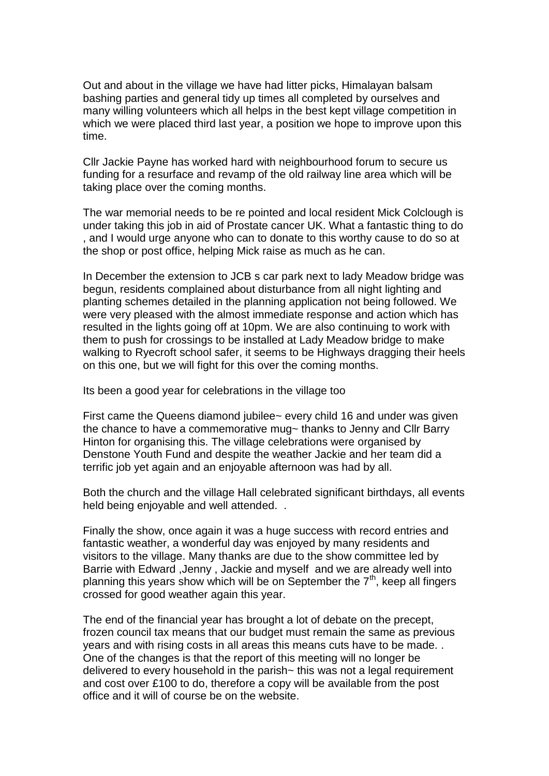Out and about in the village we have had litter picks, Himalayan balsam bashing parties and general tidy up times all completed by ourselves and many willing volunteers which all helps in the best kept village competition in which we were placed third last year, a position we hope to improve upon this time.

Cllr Jackie Payne has worked hard with neighbourhood forum to secure us funding for a resurface and revamp of the old railway line area which will be taking place over the coming months.

The war memorial needs to be re pointed and local resident Mick Colclough is under taking this job in aid of Prostate cancer UK. What a fantastic thing to do , and I would urge anyone who can to donate to this worthy cause to do so at the shop or post office, helping Mick raise as much as he can.

In December the extension to JCB s car park next to lady Meadow bridge was begun, residents complained about disturbance from all night lighting and planting schemes detailed in the planning application not being followed. We were very pleased with the almost immediate response and action which has resulted in the lights going off at 10pm. We are also continuing to work with them to push for crossings to be installed at Lady Meadow bridge to make walking to Ryecroft school safer, it seems to be Highways dragging their heels on this one, but we will fight for this over the coming months.

Its been a good year for celebrations in the village too

First came the Queens diamond jubilee~ every child 16 and under was given the chance to have a commemorative mug~ thanks to Jenny and Cllr Barry Hinton for organising this. The village celebrations were organised by Denstone Youth Fund and despite the weather Jackie and her team did a terrific job yet again and an enjoyable afternoon was had by all.

Both the church and the village Hall celebrated significant birthdays, all events held being enjoyable and well attended. .

Finally the show, once again it was a huge success with record entries and fantastic weather, a wonderful day was enjoyed by many residents and visitors to the village. Many thanks are due to the show committee led by Barrie with Edward ,Jenny , Jackie and myself and we are already well into planning this years show which will be on September the  $7<sup>th</sup>$ , keep all fingers crossed for good weather again this year.

The end of the financial year has brought a lot of debate on the precept, frozen council tax means that our budget must remain the same as previous years and with rising costs in all areas this means cuts have to be made. . One of the changes is that the report of this meeting will no longer be delivered to every household in the parish~ this was not a legal requirement and cost over £100 to do, therefore a copy will be available from the post office and it will of course be on the website.